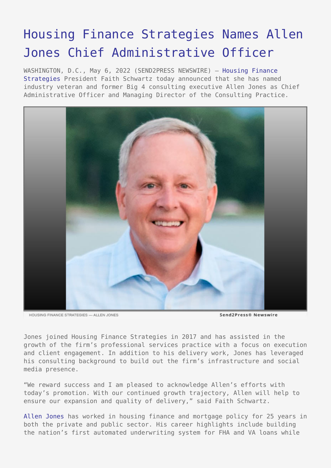## [Housing Finance Strategies Names Allen](https://www.send2press.com/wire/housing-finance-strategies-names-allen-jones-chief-administrative-officer/) [Jones Chief Administrative Officer](https://www.send2press.com/wire/housing-finance-strategies-names-allen-jones-chief-administrative-officer/)

WASHINGTON, D.C., May 6, 2022 (SEND2PRESS NEWSWIRE) — [Housing Finance](https://housingfinancestrategies.com/) [Strategies](https://housingfinancestrategies.com/) President Faith Schwartz today announced that she has named industry veteran and former Big 4 consulting executive Allen Jones as Chief Administrative Officer and Managing Director of the Consulting Practice.



HOUSING FINANCE STRATEGIES --- ALLEN JONES

Send2Press® Newswire

Jones joined Housing Finance Strategies in 2017 and has assisted in the growth of the firm's professional services practice with a focus on execution and client engagement. In addition to his delivery work, Jones has leveraged his consulting background to build out the firm's infrastructure and social media presence.

"We reward success and I am pleased to acknowledge Allen's efforts with today's promotion. With our continued growth trajectory, Allen will help to ensure our expansion and quality of delivery," said Faith Schwartz.

[Allen Jones](https://www.linkedin.com/in/jones-allen/) has worked in housing finance and mortgage policy for 25 years in both the private and public sector. His career highlights include building the nation's first automated underwriting system for FHA and VA loans while